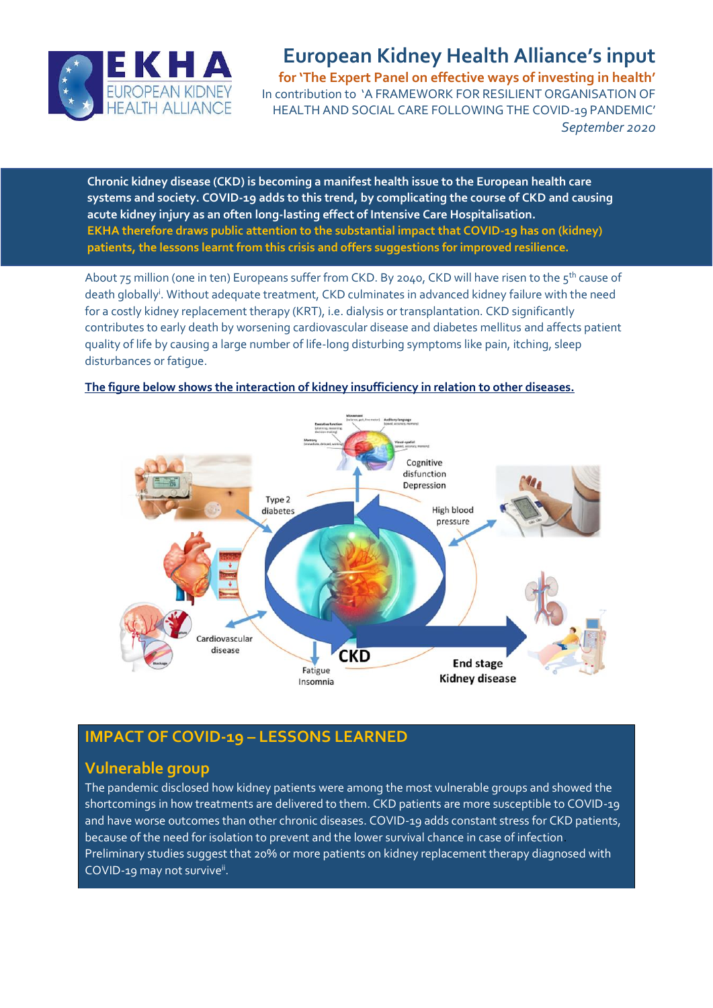

# **European Kidney Health Alliance's input**

**for 'The Expert Panel on effective ways of investing in health'** In contribution to 'A FRAMEWORK FOR RESILIENT ORGANISATION OF HEALTH AND SOCIAL CARE FOLLOWING THE COVID-19 PANDEMIC' *September 2020*

Chronic kidney disease (CKD) is becoming a manifest health issue to the European health care **systems and society. COVID-19 adds to this trend, by complicating the course of CKD and causing acute kidney injury as an often long-lasting effect of Intensive Care Hospitalisation. EKHA therefore draws public attention to the substantial impact that COVID-19 has on (kidney) patients, the lessons learnt from this crisis and offers suggestions for improved resilience.**

About 75 million (one in ten) Europeans suffer from CKD. By 2040, CKD will have risen to the  $5^{th}$  cause of death globally<sup>i</sup>. Without adequate treatment, CKD culminates in advanced kidney failure with the need for a costly kidney replacement therapy (KRT), i.e. dialysis or transplantation. CKD significantly contributes to early death by worsening cardiovascular disease and diabetes mellitus and affects patient quality of life by causing a large number of life-long disturbing symptoms like pain, itching, sleep disturbances or fatigue.



### **The figure below shows the interaction of kidney insufficiency in relation to other diseases.**

# **IMPACT OF COVID-19 – LESSONS LEARNED**

# **Vulnerable group**

The pandemic disclosed how kidney patients were among the most vulnerable groups and showed the shortcomings in how treatments are delivered to them. CKD patients are more susceptible to COVID-19 and have worse outcomes than other chronic diseases. COVID-19 adds constant stress for CKD patients, because of the need for isolation to prevent and the lower survival chance in case of infection. Preliminary studies suggest that 20% or more patients on kidney replacement therapy diagnosed with COVID-19 may not survive<sup>ii</sup>.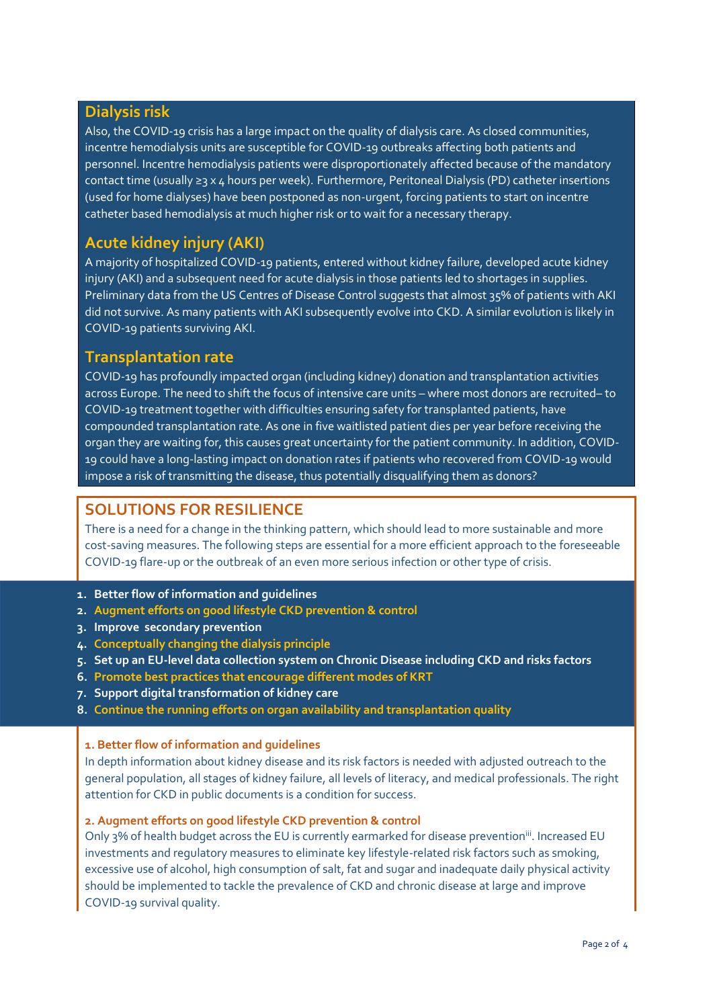### **Dialysis risk**

Also, the COVID-19 crisis has a large impact on the quality of dialysis care. As closed communities, incentre hemodialysis units are susceptible for COVID-19 outbreaks affecting both patients and personnel. Incentre hemodialysis patients were disproportionately affected because of the mandatory contact time (usually ≥3 x 4 hours per week). Furthermore, Peritoneal Dialysis (PD) catheter insertions (used for home dialyses) have been postponed as non-urgent, forcing patients to start on incentre catheter based hemodialysis at much higher risk or to wait for a necessary therapy.

## **Acute kidney injury (AKI)**

A majority of hospitalized COVID-19 patients, entered without kidney failure, developed acute kidney injury (AKI) and a subsequent need for acute dialysis in those patients led to shortages in supplies. Preliminary data from the US Centres of Disease Control suggests that almost 35% of patients with AKI did not survive. As many patients with AKI subsequently evolve into CKD. A similar evolution is likely in COVID-19 patients surviving AKI.

### **Transplantation rate**

COVID-19 has profoundly impacted organ (including kidney) donation and transplantation activities across Europe. The need to shift the focus of intensive care units – where most donors are recruited– to COVID-19 treatment together with difficulties ensuring safety for transplanted patients, have compounded transplantation rate. As one in five waitlisted patient dies per year before receiving the organ they are waiting for, this causes great uncertainty for the patient community. In addition, COVID-19 could have a long-lasting impact on donation rates if patients who recovered from COVID-19 would impose a risk of transmitting the disease, thus potentially disqualifying them as donors?

### **SOLUTIONS FOR RESILIENCE**

There is a need for a change in the thinking pattern, which should lead to more sustainable and more cost-saving measures. The following steps are essential for a more efficient approach to the foreseeable COVID-19 flare-up or the outbreak of an even more serious infection or other type of crisis.

- **1. Better flow of information and guidelines**
- **2. Augment efforts on good lifestyle CKD prevention & control**
- **3. Improve secondary prevention**
- **4. Conceptually changing the dialysis principle**
- **5. Set up an EU-level data collection system on Chronic Disease including CKD and risks factors**
- **6. Promote best practices that encourage different modes of KRT**
- **7. Support digital transformation of kidney care**
- **8. Continue the running efforts on organ availability and transplantation quality**

#### **1. Better flow of information and guidelines**

In depth information about kidney disease and its risk factors is needed with adjusted outreach to the general population, all stages of kidney failure, all levels of literacy, and medical professionals. The right attention for CKD in public documents is a condition for success.

#### **2. Augment efforts on good lifestyle CKD prevention & control**

Only 3% of health budget across the EU is currently earmarked for disease prevention<sup>iii</sup>. Increased EU investments and regulatory measures to eliminate key lifestyle-related risk factors such as smoking, excessive use of alcohol, high consumption of salt, fat and sugar and inadequate daily physical activity should be implemented to tackle the prevalence of CKD and chronic disease at large and improve COVID-19 survival quality.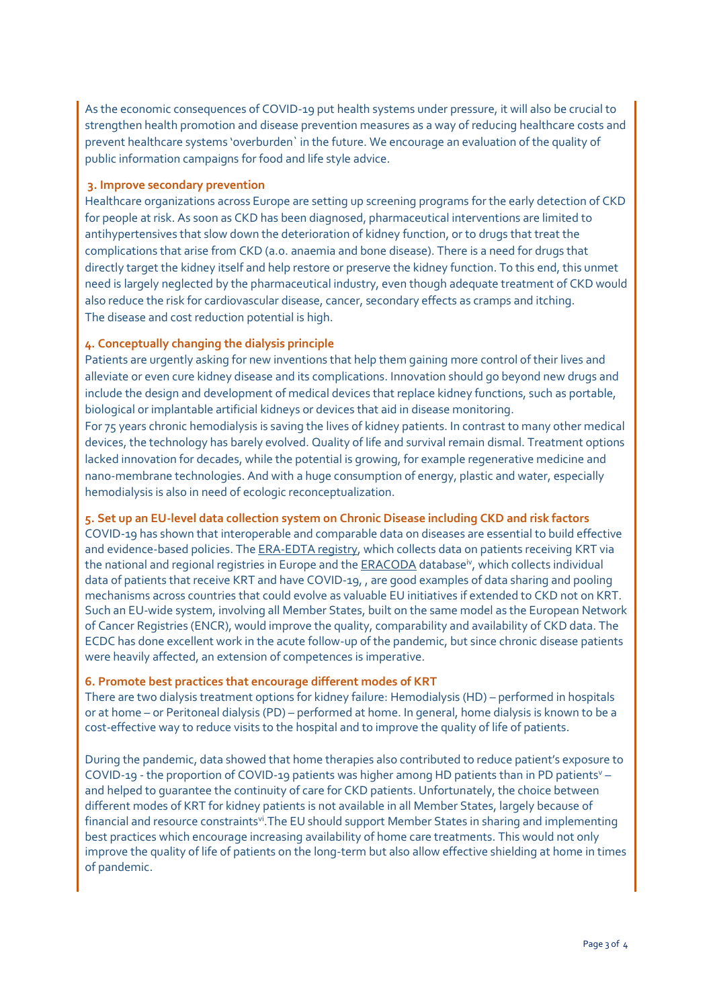As the economic consequences of COVID-19 put health systems under pressure, it will also be crucial to strengthen health promotion and disease prevention measures as a way of reducing healthcare costs and prevent healthcare systems 'overburden` in the future. We encourage an evaluation of the quality of public information campaigns for food and life style advice.

#### **3. Improve secondary prevention**

Healthcare organizations across Europe are setting up screening programs for the early detection of CKD for people at risk. As soon as CKD has been diagnosed, pharmaceutical interventions are limited to antihypertensives that slow down the deterioration of kidney function, or to drugs that treat the complications that arise from CKD (a.o. anaemia and bone disease). There is a need for drugs that directly target the kidney itself and help restore or preserve the kidney function. To this end, this unmet need is largely neglected by the pharmaceutical industry, even though adequate treatment of CKD would also reduce the risk for cardiovascular disease, cancer, secondary effects as cramps and itching. The disease and cost reduction potential is high.

#### **4. Conceptually changing the dialysis principle**

Patients are urgently asking for new inventions that help them gaining more control of their lives and alleviate or even cure kidney disease and its complications. Innovation should go beyond new drugs and include the design and development of medical devices that replace kidney functions, such as portable, biological or implantable artificial kidneys or devices that aid in disease monitoring.

For 75 years chronic hemodialysis is saving the lives of kidney patients. In contrast to many other medical devices, the technology has barely evolved. Quality of life and survival remain dismal. Treatment options lacked innovation for decades, while the potential is growing, for example regenerative medicine and nano-membrane technologies. And with a huge consumption of energy, plastic and water, especially hemodialysis is also in need of ecologic reconceptualization.

#### **5. Set up an EU-level data collection system on Chronic Disease including CKD and risk factors**

COVID-19 has shown that interoperable and comparable data on diseases are essential to build effective and evidence-based policies. Th[e ERA-EDTA registry,](https://www.era-edta.org/en/registry/) which collects data on patients receiving KRT via the national and regional registries in Europe and th[e ERACODA](https://www.eracoda.org/) database<sup>iv</sup>, which collects individual data of patients that receive KRT and have COVID-19, , are good examples of data sharing and pooling mechanisms across countries that could evolve as valuable EU initiatives if extended to CKD not on KRT. Such an EU-wide system, involving all Member States, built on the same model as the European Network of Cancer Registries (ENCR), would improve the quality, comparability and availability of CKD data. The ECDC has done excellent work in the acute follow-up of the pandemic, but since chronic disease patients were heavily affected, an extension of competences is imperative.

#### **6. Promote best practices that encourage different modes of KRT**

There are two dialysis treatment options for kidney failure: Hemodialysis (HD) – performed in hospitals or at home – or Peritoneal dialysis (PD) – performed at home. In general, home dialysis is known to be a cost-effective way to reduce visits to the hospital and to improve the quality of life of patients.

During the pandemic, data showed that home therapies also contributed to reduce patient's exposure to COVID-19 - the proportion of COVID-19 patients was higher among HD patients than in PD patients<sup>y</sup> – and helped to guarantee the continuity of care for CKD patients. Unfortunately, the choice between different modes of KRT for kidney patients is not available in all Member States, largely because of financial and resource constraints<sup>vi</sup>. The EU should support Member States in sharing and implementing best practices which encourage increasing availability of home care treatments. This would not only improve the quality of life of patients on the long-term but also allow effective shielding at home in times of pandemic.